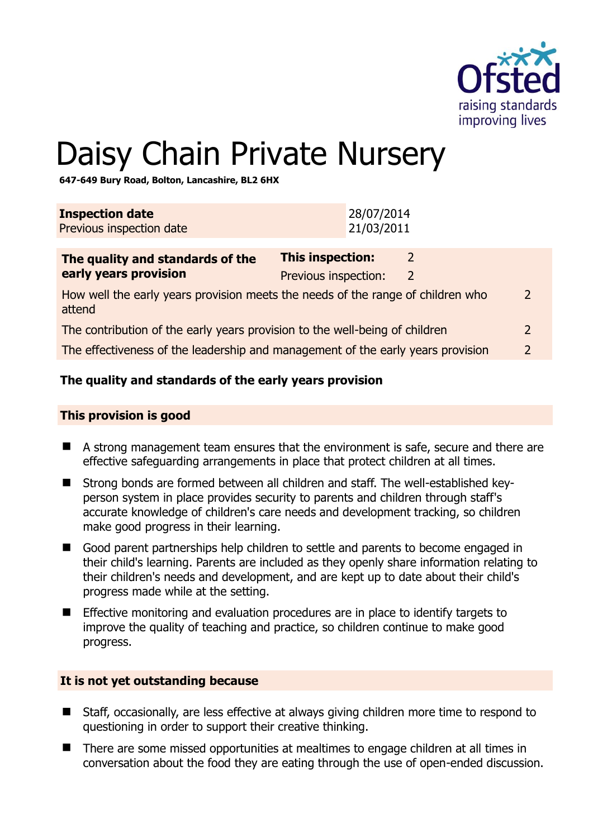

# Daisy Chain Private Nursery

**647-649 Bury Road, Bolton, Lancashire, BL2 6HX** 

| <b>Inspection date</b><br>Previous inspection date                                                         |                                                 | 28/07/2014<br>21/03/2011 |        |  |
|------------------------------------------------------------------------------------------------------------|-------------------------------------------------|--------------------------|--------|--|
| The quality and standards of the<br>early years provision                                                  | <b>This inspection:</b><br>Previous inspection: |                          | 2<br>2 |  |
| How well the early years provision meets the needs of the range of children who<br>$\mathcal{P}$<br>attend |                                                 |                          |        |  |
| The contribution of the early years provision to the well-being of children<br>$\overline{2}$              |                                                 |                          |        |  |
| The effectiveness of the leadership and management of the early years provision<br>$\mathcal{P}$           |                                                 |                          |        |  |
|                                                                                                            |                                                 |                          |        |  |

# **The quality and standards of the early years provision**

# **This provision is good**

- A strong management team ensures that the environment is safe, secure and there are effective safeguarding arrangements in place that protect children at all times.
- Strong bonds are formed between all children and staff. The well-established keyperson system in place provides security to parents and children through staff's accurate knowledge of children's care needs and development tracking, so children make good progress in their learning.
- Good parent partnerships help children to settle and parents to become engaged in their child's learning. Parents are included as they openly share information relating to their children's needs and development, and are kept up to date about their child's progress made while at the setting.
- **Effective monitoring and evaluation procedures are in place to identify targets to** improve the quality of teaching and practice, so children continue to make good progress.

# **It is not yet outstanding because**

- Staff, occasionally, are less effective at always giving children more time to respond to questioning in order to support their creative thinking.
- There are some missed opportunities at mealtimes to engage children at all times in conversation about the food they are eating through the use of open-ended discussion.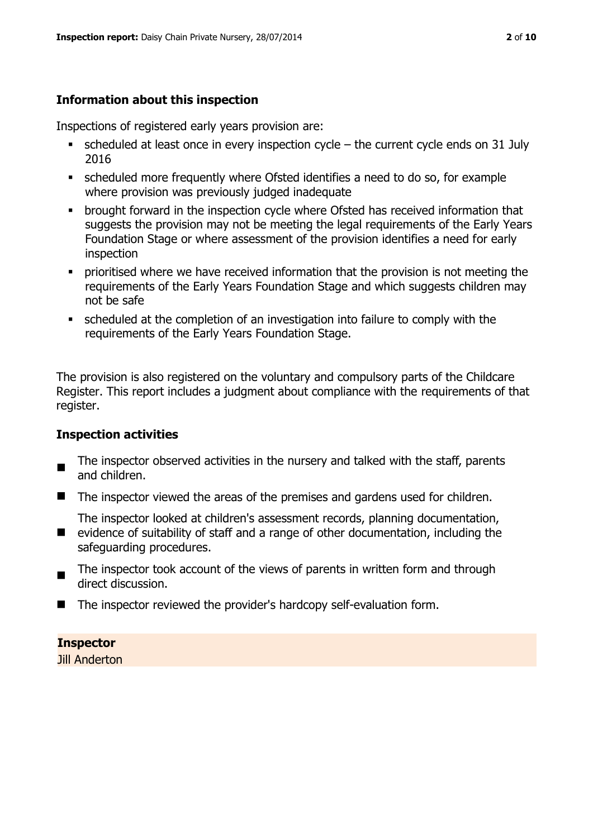# **Information about this inspection**

Inspections of registered early years provision are:

- scheduled at least once in every inspection cycle the current cycle ends on 31 July 2016
- scheduled more frequently where Ofsted identifies a need to do so, for example where provision was previously judged inadequate
- **•** brought forward in the inspection cycle where Ofsted has received information that suggests the provision may not be meeting the legal requirements of the Early Years Foundation Stage or where assessment of the provision identifies a need for early inspection
- **•** prioritised where we have received information that the provision is not meeting the requirements of the Early Years Foundation Stage and which suggests children may not be safe
- scheduled at the completion of an investigation into failure to comply with the requirements of the Early Years Foundation Stage.

The provision is also registered on the voluntary and compulsory parts of the Childcare Register. This report includes a judgment about compliance with the requirements of that register.

# **Inspection activities**

- $\blacksquare$ The inspector observed activities in the nursery and talked with the staff, parents and children.
- The inspector viewed the areas of the premises and gardens used for children.

The inspector looked at children's assessment records, planning documentation,

- **E** evidence of suitability of staff and a range of other documentation, including the safeguarding procedures.
- The inspector took account of the views of parents in written form and through direct discussion.
- The inspector reviewed the provider's hardcopy self-evaluation form.

**Inspector** 

Jill Anderton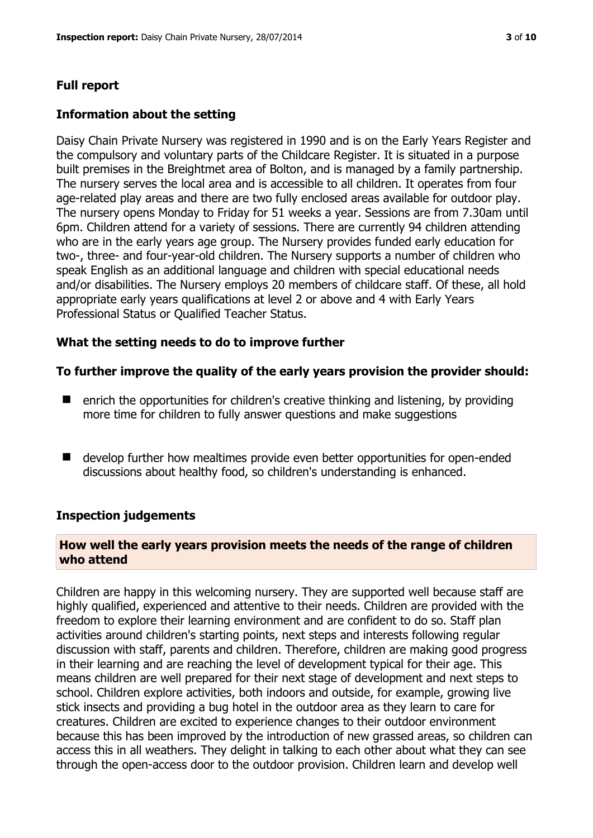# **Full report**

#### **Information about the setting**

Daisy Chain Private Nursery was registered in 1990 and is on the Early Years Register and the compulsory and voluntary parts of the Childcare Register. It is situated in a purpose built premises in the Breightmet area of Bolton, and is managed by a family partnership. The nursery serves the local area and is accessible to all children. It operates from four age-related play areas and there are two fully enclosed areas available for outdoor play. The nursery opens Monday to Friday for 51 weeks a year. Sessions are from 7.30am until 6pm. Children attend for a variety of sessions. There are currently 94 children attending who are in the early years age group. The Nursery provides funded early education for two-, three- and four-year-old children. The Nursery supports a number of children who speak English as an additional language and children with special educational needs and/or disabilities. The Nursery employs 20 members of childcare staff. Of these, all hold appropriate early years qualifications at level 2 or above and 4 with Early Years Professional Status or Qualified Teacher Status.

# **What the setting needs to do to improve further**

#### **To further improve the quality of the early years provision the provider should:**

- $\blacksquare$  enrich the opportunities for children's creative thinking and listening, by providing more time for children to fully answer questions and make suggestions
- develop further how mealtimes provide even better opportunities for open-ended discussions about healthy food, so children's understanding is enhanced.

#### **Inspection judgements**

# **How well the early years provision meets the needs of the range of children who attend**

Children are happy in this welcoming nursery. They are supported well because staff are highly qualified, experienced and attentive to their needs. Children are provided with the freedom to explore their learning environment and are confident to do so. Staff plan activities around children's starting points, next steps and interests following regular discussion with staff, parents and children. Therefore, children are making good progress in their learning and are reaching the level of development typical for their age. This means children are well prepared for their next stage of development and next steps to school. Children explore activities, both indoors and outside, for example, growing live stick insects and providing a bug hotel in the outdoor area as they learn to care for creatures. Children are excited to experience changes to their outdoor environment because this has been improved by the introduction of new grassed areas, so children can access this in all weathers. They delight in talking to each other about what they can see through the open-access door to the outdoor provision. Children learn and develop well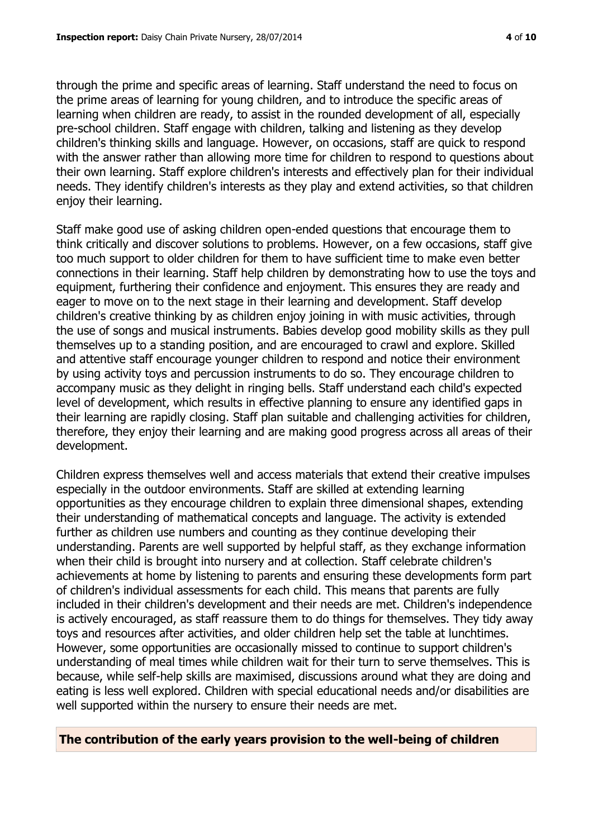through the prime and specific areas of learning. Staff understand the need to focus on the prime areas of learning for young children, and to introduce the specific areas of learning when children are ready, to assist in the rounded development of all, especially pre-school children. Staff engage with children, talking and listening as they develop children's thinking skills and language. However, on occasions, staff are quick to respond with the answer rather than allowing more time for children to respond to questions about their own learning. Staff explore children's interests and effectively plan for their individual needs. They identify children's interests as they play and extend activities, so that children enjoy their learning.

Staff make good use of asking children open-ended questions that encourage them to think critically and discover solutions to problems. However, on a few occasions, staff give too much support to older children for them to have sufficient time to make even better connections in their learning. Staff help children by demonstrating how to use the toys and equipment, furthering their confidence and enjoyment. This ensures they are ready and eager to move on to the next stage in their learning and development. Staff develop children's creative thinking by as children enjoy joining in with music activities, through the use of songs and musical instruments. Babies develop good mobility skills as they pull themselves up to a standing position, and are encouraged to crawl and explore. Skilled and attentive staff encourage younger children to respond and notice their environment by using activity toys and percussion instruments to do so. They encourage children to accompany music as they delight in ringing bells. Staff understand each child's expected level of development, which results in effective planning to ensure any identified gaps in their learning are rapidly closing. Staff plan suitable and challenging activities for children, therefore, they enjoy their learning and are making good progress across all areas of their development.

Children express themselves well and access materials that extend their creative impulses especially in the outdoor environments. Staff are skilled at extending learning opportunities as they encourage children to explain three dimensional shapes, extending their understanding of mathematical concepts and language. The activity is extended further as children use numbers and counting as they continue developing their understanding. Parents are well supported by helpful staff, as they exchange information when their child is brought into nursery and at collection. Staff celebrate children's achievements at home by listening to parents and ensuring these developments form part of children's individual assessments for each child. This means that parents are fully included in their children's development and their needs are met. Children's independence is actively encouraged, as staff reassure them to do things for themselves. They tidy away toys and resources after activities, and older children help set the table at lunchtimes. However, some opportunities are occasionally missed to continue to support children's understanding of meal times while children wait for their turn to serve themselves. This is because, while self-help skills are maximised, discussions around what they are doing and eating is less well explored. Children with special educational needs and/or disabilities are well supported within the nursery to ensure their needs are met.

#### **The contribution of the early years provision to the well-being of children**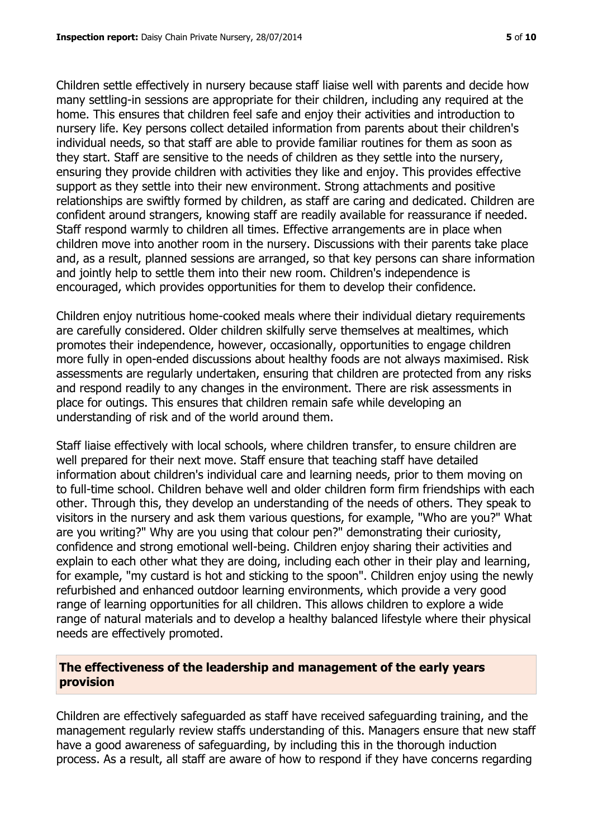Children settle effectively in nursery because staff liaise well with parents and decide how many settling-in sessions are appropriate for their children, including any required at the home. This ensures that children feel safe and enjoy their activities and introduction to nursery life. Key persons collect detailed information from parents about their children's individual needs, so that staff are able to provide familiar routines for them as soon as they start. Staff are sensitive to the needs of children as they settle into the nursery, ensuring they provide children with activities they like and enjoy. This provides effective support as they settle into their new environment. Strong attachments and positive relationships are swiftly formed by children, as staff are caring and dedicated. Children are confident around strangers, knowing staff are readily available for reassurance if needed. Staff respond warmly to children all times. Effective arrangements are in place when children move into another room in the nursery. Discussions with their parents take place and, as a result, planned sessions are arranged, so that key persons can share information and jointly help to settle them into their new room. Children's independence is encouraged, which provides opportunities for them to develop their confidence.

Children enjoy nutritious home-cooked meals where their individual dietary requirements are carefully considered. Older children skilfully serve themselves at mealtimes, which promotes their independence, however, occasionally, opportunities to engage children more fully in open-ended discussions about healthy foods are not always maximised. Risk assessments are regularly undertaken, ensuring that children are protected from any risks and respond readily to any changes in the environment. There are risk assessments in place for outings. This ensures that children remain safe while developing an understanding of risk and of the world around them.

Staff liaise effectively with local schools, where children transfer, to ensure children are well prepared for their next move. Staff ensure that teaching staff have detailed information about children's individual care and learning needs, prior to them moving on to full-time school. Children behave well and older children form firm friendships with each other. Through this, they develop an understanding of the needs of others. They speak to visitors in the nursery and ask them various questions, for example, "Who are you?" What are you writing?" Why are you using that colour pen?" demonstrating their curiosity, confidence and strong emotional well-being. Children enjoy sharing their activities and explain to each other what they are doing, including each other in their play and learning, for example, "my custard is hot and sticking to the spoon". Children enjoy using the newly refurbished and enhanced outdoor learning environments, which provide a very good range of learning opportunities for all children. This allows children to explore a wide range of natural materials and to develop a healthy balanced lifestyle where their physical needs are effectively promoted.

#### **The effectiveness of the leadership and management of the early years provision**

Children are effectively safeguarded as staff have received safeguarding training, and the management regularly review staffs understanding of this. Managers ensure that new staff have a good awareness of safeguarding, by including this in the thorough induction process. As a result, all staff are aware of how to respond if they have concerns regarding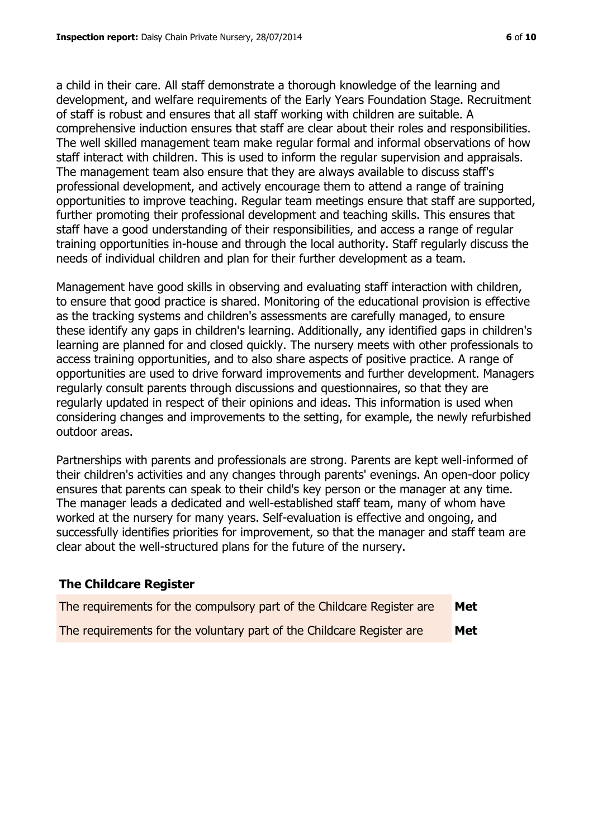a child in their care. All staff demonstrate a thorough knowledge of the learning and development, and welfare requirements of the Early Years Foundation Stage. Recruitment of staff is robust and ensures that all staff working with children are suitable. A comprehensive induction ensures that staff are clear about their roles and responsibilities. The well skilled management team make regular formal and informal observations of how staff interact with children. This is used to inform the regular supervision and appraisals. The management team also ensure that they are always available to discuss staff's professional development, and actively encourage them to attend a range of training opportunities to improve teaching. Regular team meetings ensure that staff are supported, further promoting their professional development and teaching skills. This ensures that staff have a good understanding of their responsibilities, and access a range of regular training opportunities in-house and through the local authority. Staff regularly discuss the needs of individual children and plan for their further development as a team.

Management have good skills in observing and evaluating staff interaction with children, to ensure that good practice is shared. Monitoring of the educational provision is effective as the tracking systems and children's assessments are carefully managed, to ensure these identify any gaps in children's learning. Additionally, any identified gaps in children's learning are planned for and closed quickly. The nursery meets with other professionals to access training opportunities, and to also share aspects of positive practice. A range of opportunities are used to drive forward improvements and further development. Managers regularly consult parents through discussions and questionnaires, so that they are regularly updated in respect of their opinions and ideas. This information is used when considering changes and improvements to the setting, for example, the newly refurbished outdoor areas.

Partnerships with parents and professionals are strong. Parents are kept well-informed of their children's activities and any changes through parents' evenings. An open-door policy ensures that parents can speak to their child's key person or the manager at any time. The manager leads a dedicated and well-established staff team, many of whom have worked at the nursery for many years. Self-evaluation is effective and ongoing, and successfully identifies priorities for improvement, so that the manager and staff team are clear about the well-structured plans for the future of the nursery.

# **The Childcare Register**

| The requirements for the compulsory part of the Childcare Register are | Met |
|------------------------------------------------------------------------|-----|
| The requirements for the voluntary part of the Childcare Register are  | Met |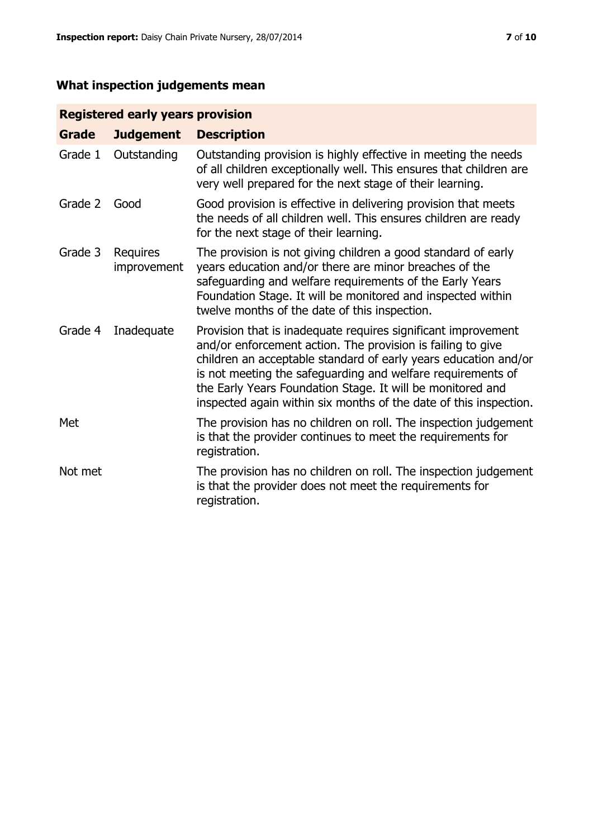# **What inspection judgements mean**

# **Registered early years provision**

| <b>Grade</b> | <b>Judgement</b>               | <b>Description</b>                                                                                                                                                                                                                                                                                                                                                                                |
|--------------|--------------------------------|---------------------------------------------------------------------------------------------------------------------------------------------------------------------------------------------------------------------------------------------------------------------------------------------------------------------------------------------------------------------------------------------------|
| Grade 1      | Outstanding                    | Outstanding provision is highly effective in meeting the needs<br>of all children exceptionally well. This ensures that children are<br>very well prepared for the next stage of their learning.                                                                                                                                                                                                  |
| Grade 2      | Good                           | Good provision is effective in delivering provision that meets<br>the needs of all children well. This ensures children are ready<br>for the next stage of their learning.                                                                                                                                                                                                                        |
| Grade 3      | <b>Requires</b><br>improvement | The provision is not giving children a good standard of early<br>years education and/or there are minor breaches of the<br>safeguarding and welfare requirements of the Early Years<br>Foundation Stage. It will be monitored and inspected within<br>twelve months of the date of this inspection.                                                                                               |
| Grade 4      | Inadequate                     | Provision that is inadequate requires significant improvement<br>and/or enforcement action. The provision is failing to give<br>children an acceptable standard of early years education and/or<br>is not meeting the safeguarding and welfare requirements of<br>the Early Years Foundation Stage. It will be monitored and<br>inspected again within six months of the date of this inspection. |
| Met          |                                | The provision has no children on roll. The inspection judgement<br>is that the provider continues to meet the requirements for<br>registration.                                                                                                                                                                                                                                                   |
| Not met      |                                | The provision has no children on roll. The inspection judgement<br>is that the provider does not meet the requirements for<br>registration.                                                                                                                                                                                                                                                       |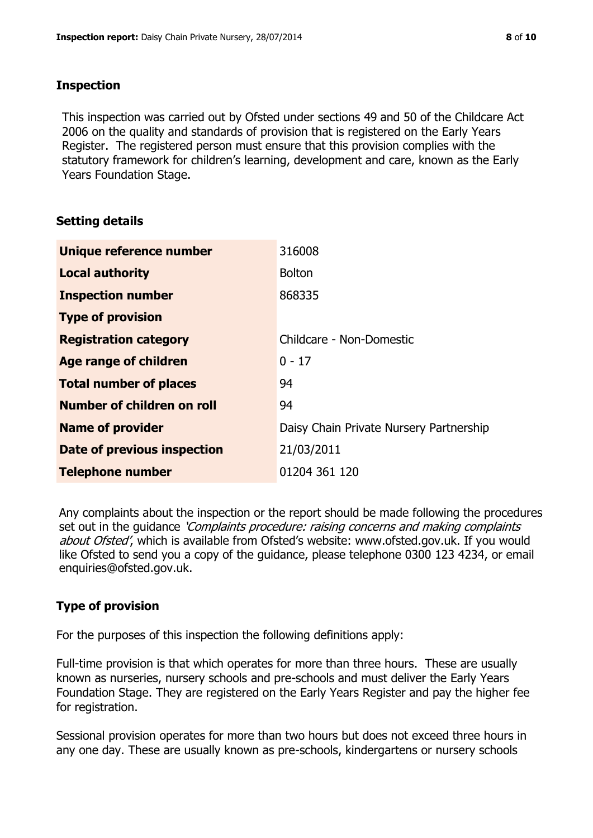# **Inspection**

This inspection was carried out by Ofsted under sections 49 and 50 of the Childcare Act 2006 on the quality and standards of provision that is registered on the Early Years Register. The registered person must ensure that this provision complies with the statutory framework for children's learning, development and care, known as the Early Years Foundation Stage.

# **Setting details**

| Unique reference number       | 316008                                  |
|-------------------------------|-----------------------------------------|
| <b>Local authority</b>        | <b>Bolton</b>                           |
| <b>Inspection number</b>      | 868335                                  |
| <b>Type of provision</b>      |                                         |
| <b>Registration category</b>  | Childcare - Non-Domestic                |
| Age range of children         | $0 - 17$                                |
| <b>Total number of places</b> | 94                                      |
| Number of children on roll    | 94                                      |
| <b>Name of provider</b>       | Daisy Chain Private Nursery Partnership |
| Date of previous inspection   | 21/03/2011                              |
| <b>Telephone number</b>       | 01204 361 120                           |

Any complaints about the inspection or the report should be made following the procedures set out in the guidance *'Complaints procedure: raising concerns and making complaints* about Ofsted', which is available from Ofsted's website: www.ofsted.gov.uk. If you would like Ofsted to send you a copy of the guidance, please telephone 0300 123 4234, or email enquiries@ofsted.gov.uk.

# **Type of provision**

For the purposes of this inspection the following definitions apply:

Full-time provision is that which operates for more than three hours. These are usually known as nurseries, nursery schools and pre-schools and must deliver the Early Years Foundation Stage. They are registered on the Early Years Register and pay the higher fee for registration.

Sessional provision operates for more than two hours but does not exceed three hours in any one day. These are usually known as pre-schools, kindergartens or nursery schools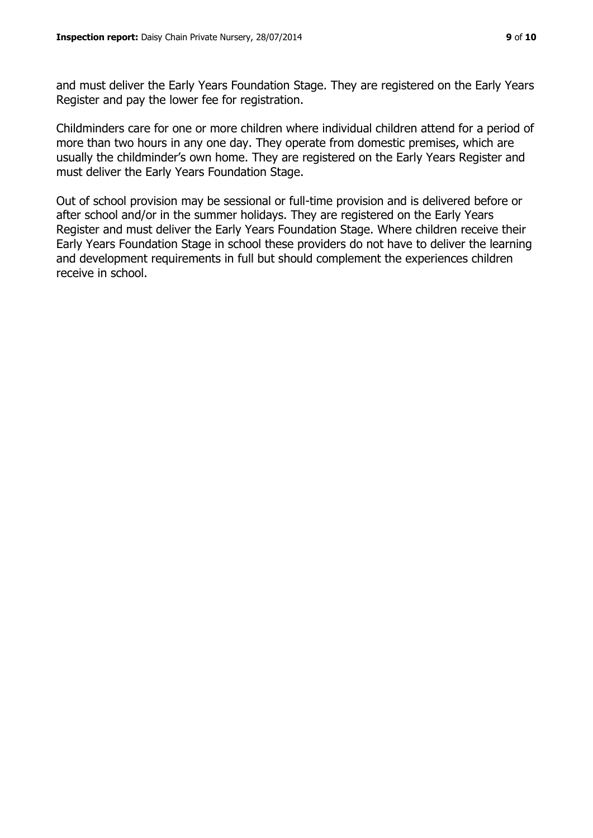and must deliver the Early Years Foundation Stage. They are registered on the Early Years Register and pay the lower fee for registration.

Childminders care for one or more children where individual children attend for a period of more than two hours in any one day. They operate from domestic premises, which are usually the childminder's own home. They are registered on the Early Years Register and must deliver the Early Years Foundation Stage.

Out of school provision may be sessional or full-time provision and is delivered before or after school and/or in the summer holidays. They are registered on the Early Years Register and must deliver the Early Years Foundation Stage. Where children receive their Early Years Foundation Stage in school these providers do not have to deliver the learning and development requirements in full but should complement the experiences children receive in school.